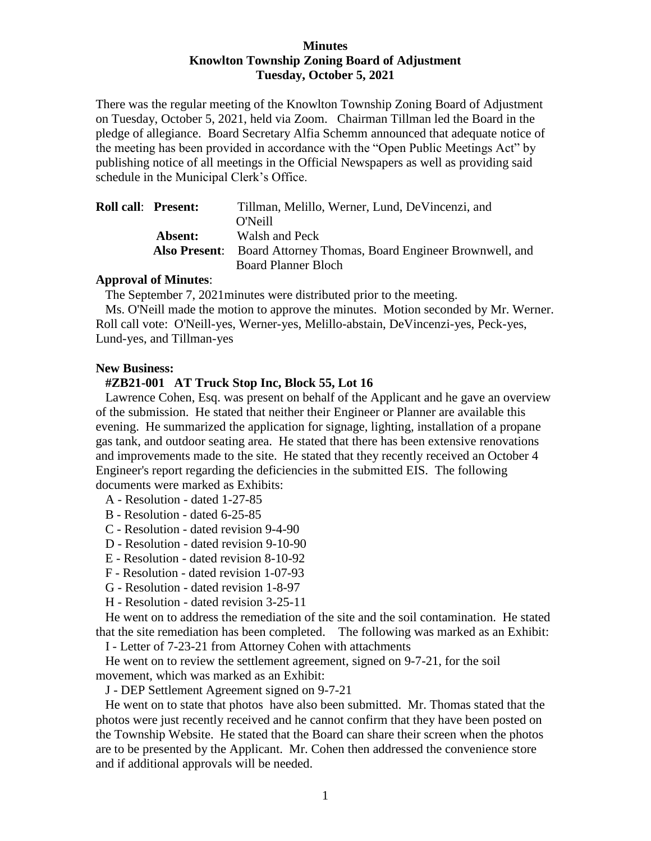## **Minutes Knowlton Township Zoning Board of Adjustment Tuesday, October 5, 2021**

There was the regular meeting of the Knowlton Township Zoning Board of Adjustment on Tuesday, October 5, 2021, held via Zoom. Chairman Tillman led the Board in the pledge of allegiance. Board Secretary Alfia Schemm announced that adequate notice of the meeting has been provided in accordance with the "Open Public Meetings Act" by publishing notice of all meetings in the Official Newspapers as well as providing said schedule in the Municipal Clerk's Office.

| <b>Roll call: Present:</b> | Tillman, Melillo, Werner, Lund, De Vincenzi, and                          |
|----------------------------|---------------------------------------------------------------------------|
|                            | O'Neill                                                                   |
| Absent:                    | Walsh and Peck                                                            |
|                            | <b>Also Present:</b> Board Attorney Thomas, Board Engineer Brownwell, and |
|                            | <b>Board Planner Bloch</b>                                                |

## **Approval of Minutes**:

The September 7, 2021minutes were distributed prior to the meeting.

 Ms. O'Neill made the motion to approve the minutes. Motion seconded by Mr. Werner. Roll call vote: O'Neill-yes, Werner-yes, Melillo-abstain, DeVincenzi-yes, Peck-yes, Lund-yes, and Tillman-yes

## **New Business:**

## **#ZB21-001 AT Truck Stop Inc, Block 55, Lot 16**

 Lawrence Cohen, Esq. was present on behalf of the Applicant and he gave an overview of the submission. He stated that neither their Engineer or Planner are available this evening. He summarized the application for signage, lighting, installation of a propane gas tank, and outdoor seating area. He stated that there has been extensive renovations and improvements made to the site. He stated that they recently received an October 4 Engineer's report regarding the deficiencies in the submitted EIS. The following documents were marked as Exhibits:

- A Resolution dated 1-27-85
- B Resolution dated 6-25-85
- C Resolution dated revision 9-4-90
- D Resolution dated revision 9-10-90
- E Resolution dated revision 8-10-92
- F Resolution dated revision 1-07-93
- G Resolution dated revision 1-8-97
- H Resolution dated revision 3-25-11

 He went on to address the remediation of the site and the soil contamination. He stated that the site remediation has been completed. The following was marked as an Exhibit:

I - Letter of 7-23-21 from Attorney Cohen with attachments

 He went on to review the settlement agreement, signed on 9-7-21, for the soil movement, which was marked as an Exhibit:

J - DEP Settlement Agreement signed on 9-7-21

 He went on to state that photos have also been submitted. Mr. Thomas stated that the photos were just recently received and he cannot confirm that they have been posted on the Township Website. He stated that the Board can share their screen when the photos are to be presented by the Applicant. Mr. Cohen then addressed the convenience store and if additional approvals will be needed.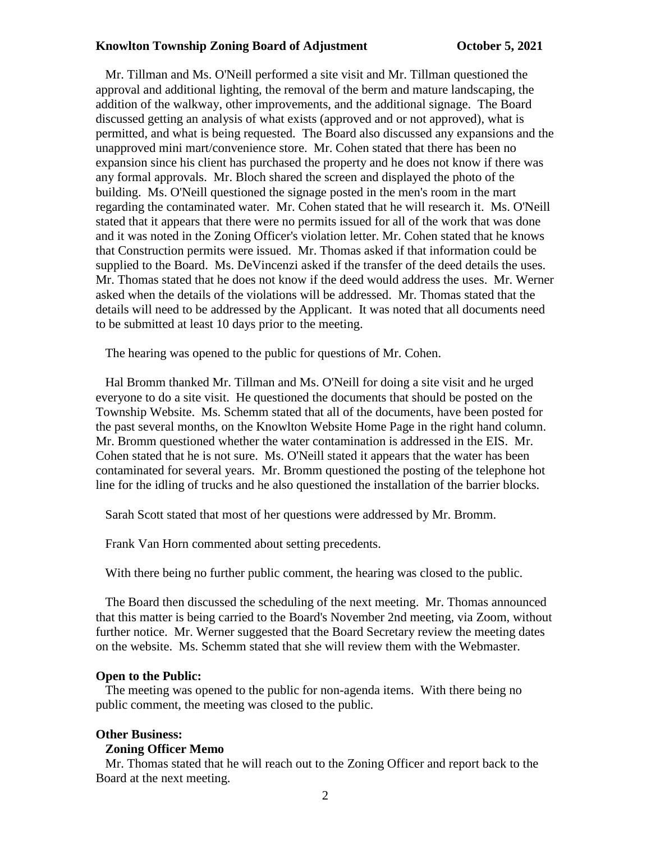#### **Knowlton Township Zoning Board of Adjustment Conservation Corober 5, 2021**

 Mr. Tillman and Ms. O'Neill performed a site visit and Mr. Tillman questioned the approval and additional lighting, the removal of the berm and mature landscaping, the addition of the walkway, other improvements, and the additional signage. The Board discussed getting an analysis of what exists (approved and or not approved), what is permitted, and what is being requested. The Board also discussed any expansions and the unapproved mini mart/convenience store. Mr. Cohen stated that there has been no expansion since his client has purchased the property and he does not know if there was any formal approvals. Mr. Bloch shared the screen and displayed the photo of the building. Ms. O'Neill questioned the signage posted in the men's room in the mart regarding the contaminated water. Mr. Cohen stated that he will research it. Ms. O'Neill stated that it appears that there were no permits issued for all of the work that was done and it was noted in the Zoning Officer's violation letter. Mr. Cohen stated that he knows that Construction permits were issued. Mr. Thomas asked if that information could be supplied to the Board. Ms. DeVincenzi asked if the transfer of the deed details the uses. Mr. Thomas stated that he does not know if the deed would address the uses. Mr. Werner asked when the details of the violations will be addressed. Mr. Thomas stated that the details will need to be addressed by the Applicant. It was noted that all documents need to be submitted at least 10 days prior to the meeting.

The hearing was opened to the public for questions of Mr. Cohen.

 Hal Bromm thanked Mr. Tillman and Ms. O'Neill for doing a site visit and he urged everyone to do a site visit. He questioned the documents that should be posted on the Township Website. Ms. Schemm stated that all of the documents, have been posted for the past several months, on the Knowlton Website Home Page in the right hand column. Mr. Bromm questioned whether the water contamination is addressed in the EIS. Mr. Cohen stated that he is not sure. Ms. O'Neill stated it appears that the water has been contaminated for several years. Mr. Bromm questioned the posting of the telephone hot line for the idling of trucks and he also questioned the installation of the barrier blocks.

Sarah Scott stated that most of her questions were addressed by Mr. Bromm.

Frank Van Horn commented about setting precedents.

With there being no further public comment, the hearing was closed to the public.

 The Board then discussed the scheduling of the next meeting. Mr. Thomas announced that this matter is being carried to the Board's November 2nd meeting, via Zoom, without further notice. Mr. Werner suggested that the Board Secretary review the meeting dates on the website. Ms. Schemm stated that she will review them with the Webmaster.

#### **Open to the Public:**

 The meeting was opened to the public for non-agenda items. With there being no public comment, the meeting was closed to the public.

#### **Other Business:**

### **Zoning Officer Memo**

Mr. Thomas stated that he will reach out to the Zoning Officer and report back to the Board at the next meeting.